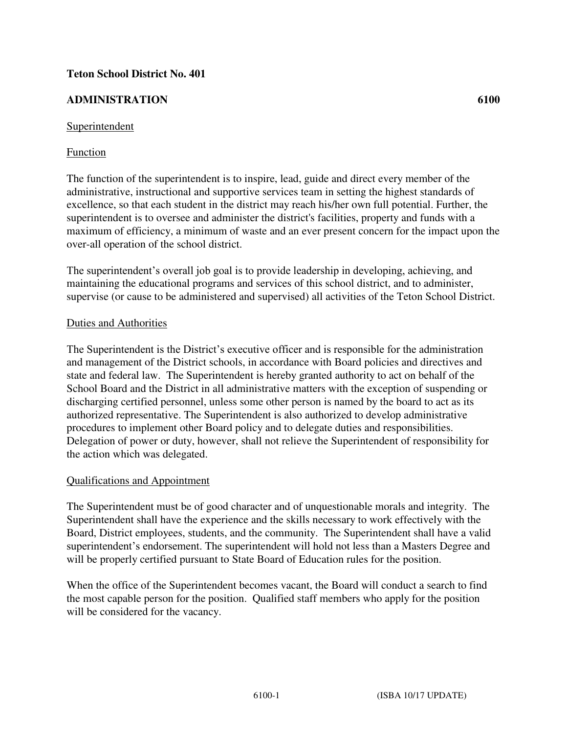# **ADMINISTRATION 6100**

#### **Superintendent**

### Function

The function of the superintendent is to inspire, lead, guide and direct every member of the administrative, instructional and supportive services team in setting the highest standards of excellence, so that each student in the district may reach his/her own full potential. Further, the superintendent is to oversee and administer the district's facilities, property and funds with a maximum of efficiency, a minimum of waste and an ever present concern for the impact upon the over-all operation of the school district.

The superintendent's overall job goal is to provide leadership in developing, achieving, and maintaining the educational programs and services of this school district, and to administer, supervise (or cause to be administered and supervised) all activities of the Teton School District.

#### Duties and Authorities

The Superintendent is the District's executive officer and is responsible for the administration and management of the District schools, in accordance with Board policies and directives and state and federal law. The Superintendent is hereby granted authority to act on behalf of the School Board and the District in all administrative matters with the exception of suspending or discharging certified personnel, unless some other person is named by the board to act as its authorized representative. The Superintendent is also authorized to develop administrative procedures to implement other Board policy and to delegate duties and responsibilities. Delegation of power or duty, however, shall not relieve the Superintendent of responsibility for the action which was delegated.

#### Qualifications and Appointment

The Superintendent must be of good character and of unquestionable morals and integrity. The Superintendent shall have the experience and the skills necessary to work effectively with the Board, District employees, students, and the community. The Superintendent shall have a valid superintendent's endorsement. The superintendent will hold not less than a Masters Degree and will be properly certified pursuant to State Board of Education rules for the position.

When the office of the Superintendent becomes vacant, the Board will conduct a search to find the most capable person for the position. Qualified staff members who apply for the position will be considered for the vacancy.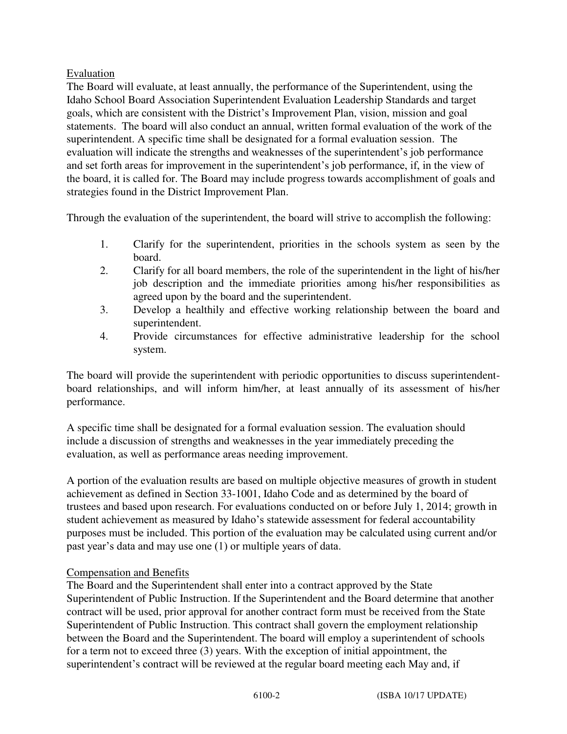## Evaluation

The Board will evaluate, at least annually, the performance of the Superintendent, using the Idaho School Board Association Superintendent Evaluation Leadership Standards and target goals, which are consistent with the District's Improvement Plan, vision, mission and goal statements. The board will also conduct an annual, written formal evaluation of the work of the superintendent. A specific time shall be designated for a formal evaluation session. The evaluation will indicate the strengths and weaknesses of the superintendent's job performance and set forth areas for improvement in the superintendent's job performance, if, in the view of the board, it is called for. The Board may include progress towards accomplishment of goals and strategies found in the District Improvement Plan.

Through the evaluation of the superintendent, the board will strive to accomplish the following:

- 1. Clarify for the superintendent, priorities in the schools system as seen by the board.
- 2. Clarify for all board members, the role of the superintendent in the light of his/her job description and the immediate priorities among his/her responsibilities as agreed upon by the board and the superintendent.
- 3. Develop a healthily and effective working relationship between the board and superintendent.
- 4. Provide circumstances for effective administrative leadership for the school system.

The board will provide the superintendent with periodic opportunities to discuss superintendentboard relationships, and will inform him/her, at least annually of its assessment of his/her performance.

A specific time shall be designated for a formal evaluation session. The evaluation should include a discussion of strengths and weaknesses in the year immediately preceding the evaluation, as well as performance areas needing improvement.

A portion of the evaluation results are based on multiple objective measures of growth in student achievement as defined in Section 33-1001, Idaho Code and as determined by the board of trustees and based upon research. For evaluations conducted on or before July 1, 2014; growth in student achievement as measured by Idaho's statewide assessment for federal accountability purposes must be included. This portion of the evaluation may be calculated using current and/or past year's data and may use one (1) or multiple years of data.

## Compensation and Benefits

The Board and the Superintendent shall enter into a contract approved by the State Superintendent of Public Instruction. If the Superintendent and the Board determine that another contract will be used, prior approval for another contract form must be received from the State Superintendent of Public Instruction. This contract shall govern the employment relationship between the Board and the Superintendent. The board will employ a superintendent of schools for a term not to exceed three (3) years. With the exception of initial appointment, the superintendent's contract will be reviewed at the regular board meeting each May and, if